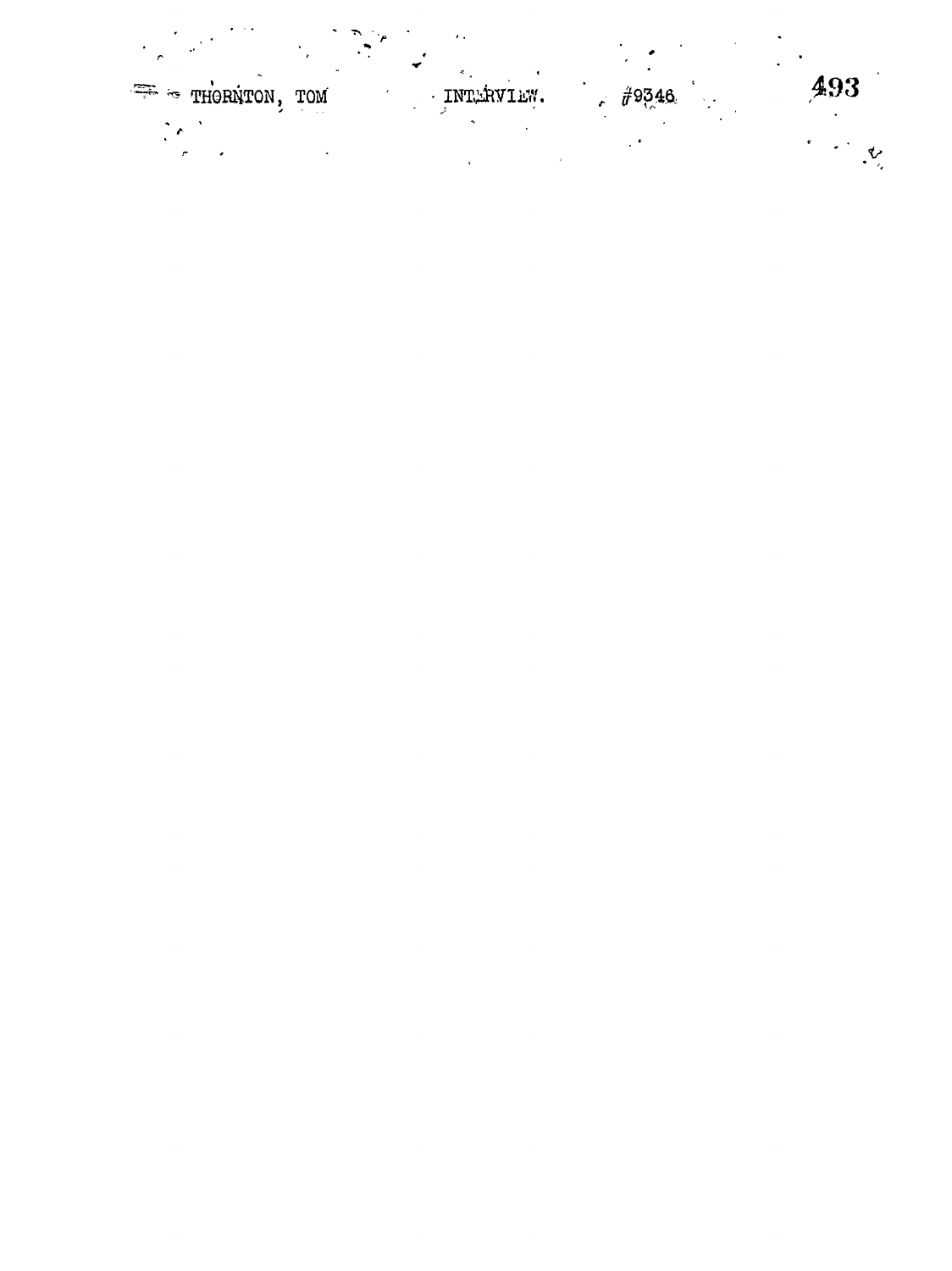| تعبر میشی<br>THORNTON, |                      |            |            |     |
|------------------------|----------------------|------------|------------|-----|
|                        | TOM<br>$\sim$ $\sim$ | INTERVIEW. | $\#$ 9346. | 493 |
|                        |                      |            |            |     |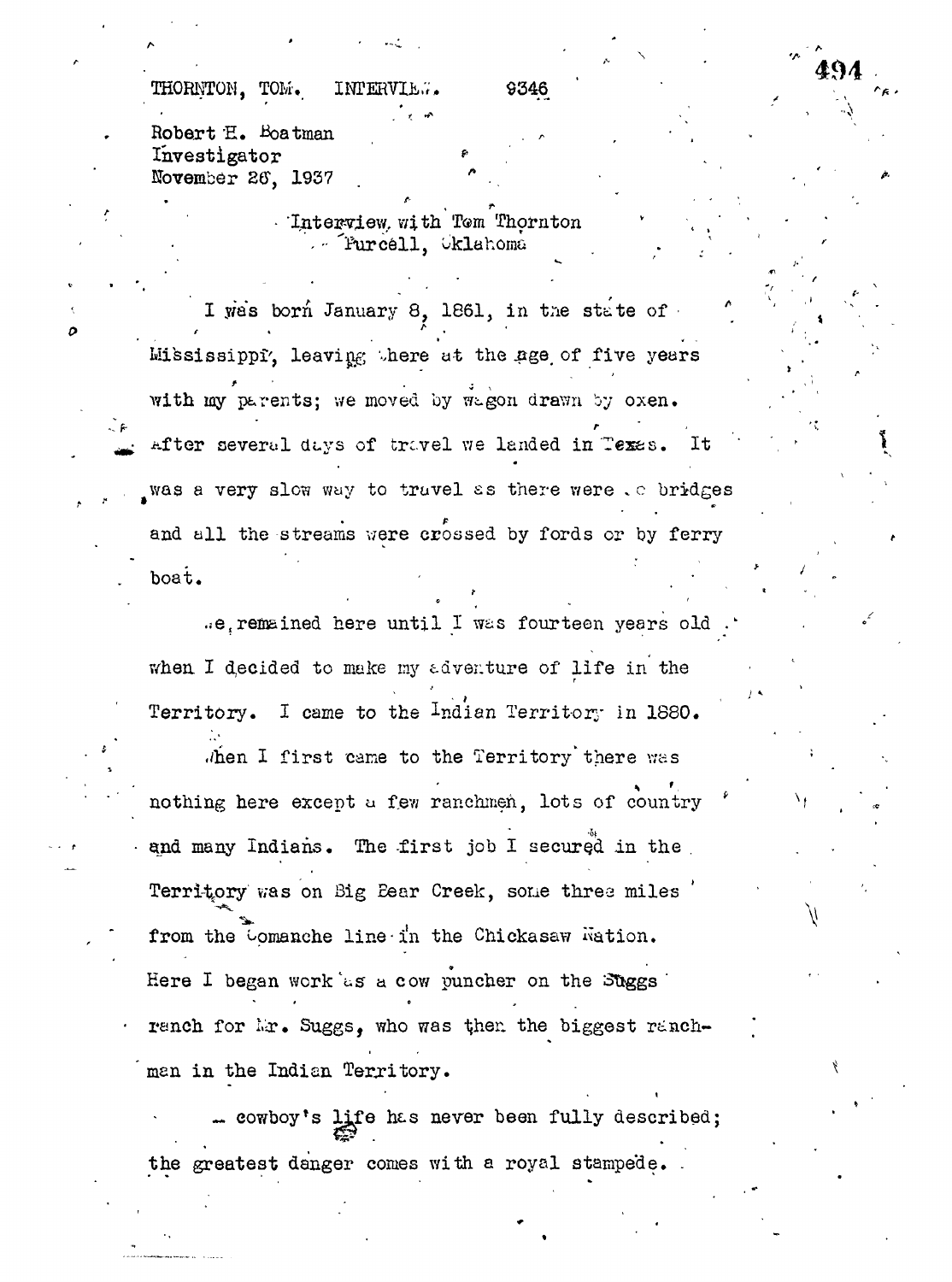Thomas Thomas Thomas Interview. 9346

boat. -

•  $\bullet$  . In the set of the set of the set of the set of the set of the set of the set of the set of the set of the set of the set of the set of the set of the set of the set of the set of the set of the set of the set of

**f- 'A**

" r \* • \* '

494

Robert E. Boatman Investigator  $p \left( \begin{array}{ccc} p \right) & p \end{array} \right)$ November 26, 1937 , 1937 . " .. • • , '

> Interview, with Tem Thornton  $\mathbf{v} = \mathbf{v} \times \mathbf{v}$  ,  $\mathbf{v} = \mathbf{v} \times \mathbf{v}$ ... 'Furcell, Oklahoma

I was born January 8, 1861, in the state of  $\mathbf{e}^{\mathbf{e}}$  ,  $\mathbf{e}^{\mathbf{e}}$  ,  $\mathbf{e}^{\mathbf{e}}$  ,  $\mathbf{e}^{\mathbf{e}}$  ,  $\mathbf{e}^{\mathbf{e}}$  ,  $\mathbf{e}^{\mathbf{e}}$  ,  $\mathbf{e}^{\mathbf{e}}$  ,  $\mathbf{e}^{\mathbf{e}}$  ,  $\mathbf{e}^{\mathbf{e}}$  ,  $\mathbf{e}^{\mathbf{e}}$  ,  $\mathbf{e}^{\mathbf{e}}$  ,  $\mathbf{e}^{\mathbf{e}}$  ,  $\mathbf{$ Mississippi', leavi ^ ..here *at* the .age, of five years \* . with my parents; we moved by wagon drawn by oxen. with my parents; view  $\frac{1}{2}$  is moved by vrt-gon drawn by oxen. '  $\frac{1}{2}$  '  $A_{\rm eff}$  several dt.ys of travel we landed in tegs $\sim$  It  $\sim$   $\sim$ was a very slow with the slow with  $\frac{1}{2}$ and all the streams were crossed by fords or by ferry boat.  $\mathbf{y} = \mathbf{y}$  , and the contract of the contract of the contract of the contract of the contract of the contract of the contract of the contract of the contract of the contract of the contract of the contract of the con

.e. remained here until I was fourteen years old . when I decided to make my adventure of life in the Territory. I came to the <sup>I</sup>ndian Territory in 1880.

Ahen I first came to the Territory there was nothing here except a few ranchmen. lots of country when  $\mathcal{L}_{\text{eff}}$  first cane to the Territory theory the Territory theory the Territory theory theory theory theory theory theory theory theory theory theory theory theory theory theory theory theory theory theory theory nothing here except using the except using the country of country  $\mathcal{E}(\mathcal{E})$  $\mathcal{P}$  and many Indians. The -first job I secured in the secured in the , the , the , the , the , the , the , the , the , the , the , the , the , the , the , the , the , the , the , the , the , the , the , the , the , t Territory was on  $\mathbb{R}^n$  . The creek sone thread miles is the creek, sone threa miles ' $\mathbb{R}^n$  ' $\mathbb{R}^n$ ' from the opmanche line-in the Chickasaw isation. ranch for Mr. Suggs, who was then the biggest ranch-Here I began work'us a cow puncher on the ottgas 'us a cow puncher on the ottgas 'us a cow puncher on the ottg man in the Indian Territory.

. cowboy's life has never been fully described; men in the Indian Territory. In the Indian Territory. In the Indian Territory. In the Indian Territory. In the the greatest denger comes with a royal stampede.

the greatest danger comes with a royal stamped  $\mathcal{C}$  ,  $\mathcal{C}$  and  $\mathcal{C}$  around  $\mathcal{C}$  ,  $\mathcal{C}$  are  $\mathcal{C}$  and  $\mathcal{C}$  are  $\mathcal{C}$  and  $\mathcal{C}$  are  $\mathcal{C}$  and  $\mathcal{C}$  are  $\mathcal{C}$  and  $\mathcal{C}$  are  $\mathcal{C$ 

 $\mathcal{L}^{\mathcal{L}}(\mathcal{L}^{\mathcal{L}})$  is never been fully described; never been fully described; never been fully described; never been fully described; never been fully described; never been fully described; never been fully des

ranch for l.ir. Suggs, who was then the biggest rjinch-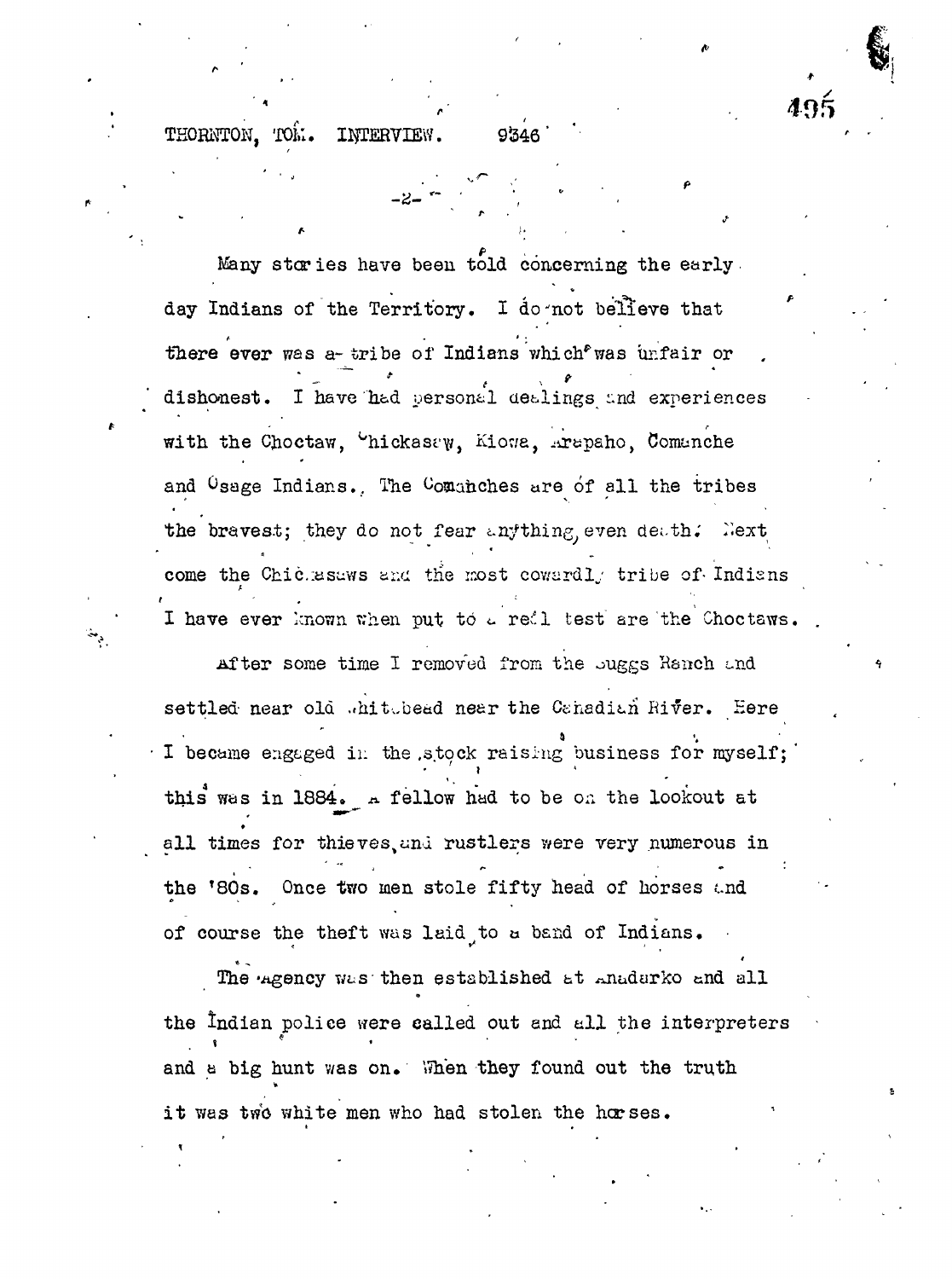THORNTON. TOM. INTERVIEW. 9346

495

Many stories have been told concerning the early. day Indians of the Territory. I do not believe that there ever was a-tribe of Indians which was unfair or dishonest. I have had personal dealings and experiences with the Choctaw, Chickasew, Kiowa, Arapaho, Comanche and <sup>O</sup>sage Indians. The Comanches are of all the tribes the bravest; they do not fear anything even death. Next come the Chiclesaws and the most cowardly tribe of Indians I have ever known when put to a redl test are the Choctaws.

After some time I removed from the suggs Ranch and settled near old whitebed near the Canadian River. Here I became engaged in the stock raising business for myself; this was in 1884. A fellow had to be on the lookout at all times for thieves, and rustlers were very numerous in the '80s. Once two men stole fifty head of horses and of course the theft was laid to a band of Indians.

The agency was then established at anadarko and all the Indian police were called out and all the interpreters and a big hunt was on. When they found out the truth it was two white men who had stolen the horses.